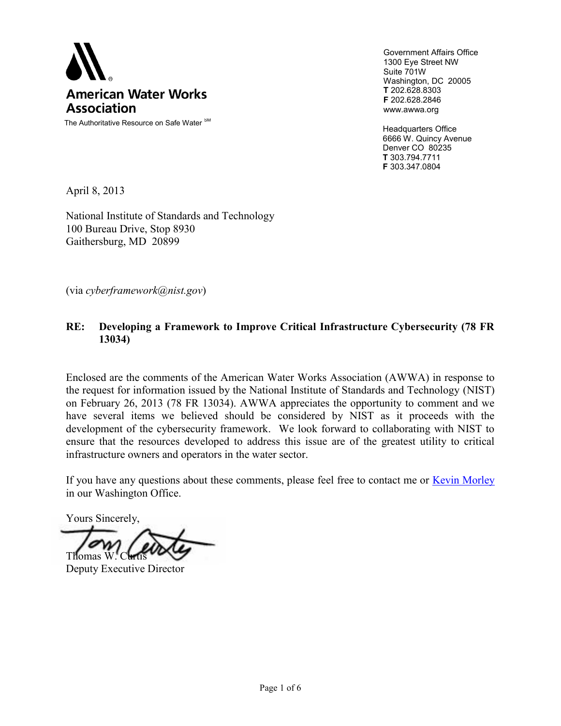

The Authoritative Resource on Safe Water SM

Government Affairs Office 1300 Eye Street NW Suite 701W Washington, DC 20005 **T** 202.628.8303 **F** 202.628.2846 www.awwa.org

Headquarters Office 6666 W. Quincy Avenue Denver CO 80235 **T** 303.794.7711 **F** 303.347.0804

April 8, 2013

National Institute of Standards and Technology 100 Bureau Drive, Stop 8930 Gaithersburg, MD 20899

(via *cyberframework@nist.gov*)

#### **RE: Developing a Framework to Improve Critical Infrastructure Cybersecurity (78 FR 13034)**

Enclosed are the comments of the American Water Works Association (AWWA) in response to the request for information issued by the National Institute of Standards and Technology (NIST) on February 26, 2013 (78 FR 13034). AWWA appreciates the opportunity to comment and we have several items we believed should be considered by NIST as it proceeds with the development of the cybersecurity framework. We look forward to collaborating with NIST to ensure that the resources developed to address this issue are of the greatest utility to critical infrastructure owners and operators in the water sector.

If you have any questions about these comments, please feel free to contact me or [Kevin Morley](mailto:kmorley@awwa.org?subject=Comments%20on%20NIST%20RFI%20for%20Cyber%20Framework) in our Washington Office.

Yours Sincerely,

Thomas W

Deputy Executive Director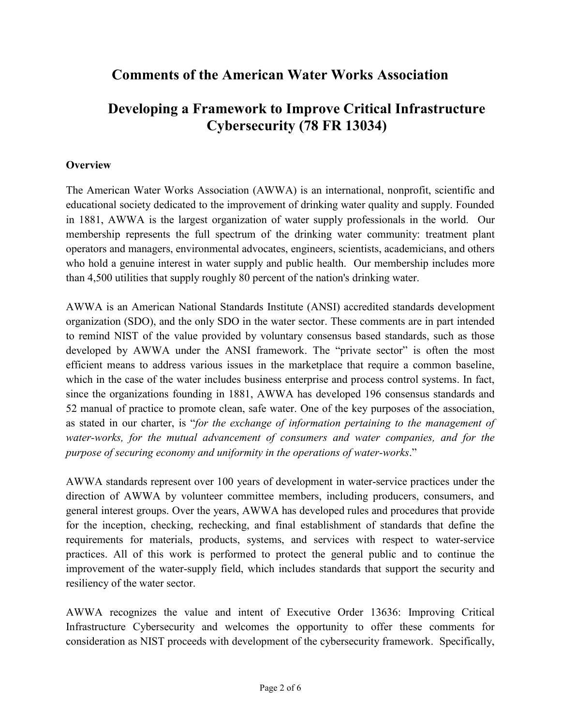# **Comments of the American Water Works Association**

# **Developing a Framework to Improve Critical Infrastructure Cybersecurity (78 FR 13034)**

## **Overview**

The American Water Works Association (AWWA) is an international, nonprofit, scientific and educational society dedicated to the improvement of drinking water quality and supply. Founded in 1881, AWWA is the largest organization of water supply professionals in the world. Our membership represents the full spectrum of the drinking water community: treatment plant operators and managers, environmental advocates, engineers, scientists, academicians, and others who hold a genuine interest in water supply and public health. Our membership includes more than 4,500 utilities that supply roughly 80 percent of the nation's drinking water.

AWWA is an American National Standards Institute (ANSI) accredited standards development organization (SDO), and the only SDO in the water sector. These comments are in part intended to remind NIST of the value provided by voluntary consensus based standards, such as those developed by AWWA under the ANSI framework. The "private sector" is often the most efficient means to address various issues in the marketplace that require a common baseline, which in the case of the water includes business enterprise and process control systems. In fact, since the organizations founding in 1881, AWWA has developed 196 consensus standards and 52 manual of practice to promote clean, safe water. One of the key purposes of the association, as stated in our charter, is "*for the exchange of information pertaining to the management of water-works, for the mutual advancement of consumers and water companies, and for the purpose of securing economy and uniformity in the operations of water-works*."

AWWA standards represent over 100 years of development in water-service practices under the direction of AWWA by volunteer committee members, including producers, consumers, and general interest groups. Over the years, AWWA has developed rules and procedures that provide for the inception, checking, rechecking, and final establishment of standards that define the requirements for materials, products, systems, and services with respect to water-service practices. All of this work is performed to protect the general public and to continue the improvement of the water-supply field, which includes standards that support the security and resiliency of the water sector.

AWWA recognizes the value and intent of Executive Order 13636: Improving Critical Infrastructure Cybersecurity and welcomes the opportunity to offer these comments for consideration as NIST proceeds with development of the cybersecurity framework. Specifically,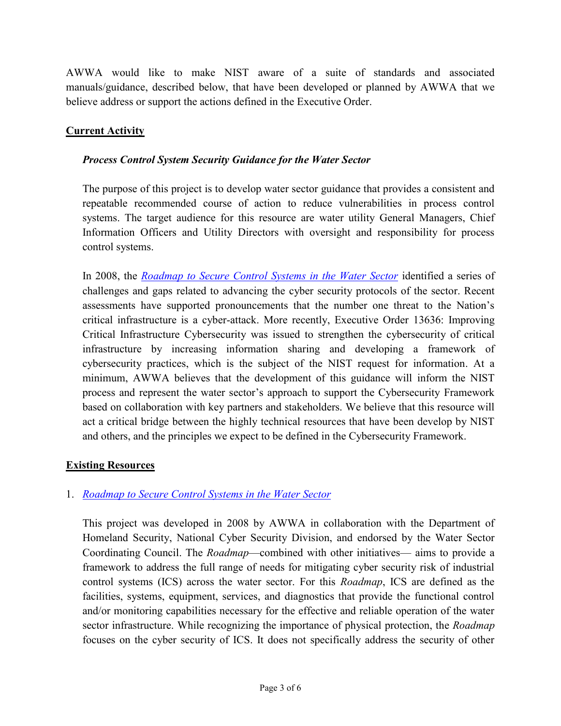AWWA would like to make NIST aware of a suite of standards and associated manuals/guidance, described below, that have been developed or planned by AWWA that we believe address or support the actions defined in the Executive Order.

# **Current Activity**

### *Process Control System Security Guidance for the Water Sector*

The purpose of this project is to develop water sector guidance that provides a consistent and repeatable recommended course of action to reduce vulnerabilities in process control systems. The target audience for this resource are water utility General Managers, Chief Information Officers and Utility Directors with oversight and responsibility for process control systems.

In 2008, the *[Roadmap to Secure Control Systems in the Water Sector](http://www.awwa.org/files/GovtPublicAffairs/PDF/WaterSecurityRoadmap031908.pdf)* identified a series of challenges and gaps related to advancing the cyber security protocols of the sector. Recent assessments have supported pronouncements that the number one threat to the Nation's critical infrastructure is a cyber-attack. More recently, Executive Order 13636: Improving Critical Infrastructure Cybersecurity was issued to strengthen the cybersecurity of critical infrastructure by increasing information sharing and developing a framework of cybersecurity practices, which is the subject of the NIST request for information. At a minimum, AWWA believes that the development of this guidance will inform the NIST process and represent the water sector's approach to support the Cybersecurity Framework based on collaboration with key partners and stakeholders. We believe that this resource will act a critical bridge between the highly technical resources that have been develop by NIST and others, and the principles we expect to be defined in the Cybersecurity Framework.

#### **Existing Resources**

## 1. *[Roadmap to Secure Control Systems in the Water Sector](http://www.awwa.org/files/GovtPublicAffairs/PDF/WaterSecurityRoadmap031908.pdf)*

This project was developed in 2008 by AWWA in collaboration with the Department of Homeland Security, National Cyber Security Division, and endorsed by the Water Sector Coordinating Council. The *Roadmap*—combined with other initiatives— aims to provide a framework to address the full range of needs for mitigating cyber security risk of industrial control systems (ICS) across the water sector. For this *Roadmap*, ICS are defined as the facilities, systems, equipment, services, and diagnostics that provide the functional control and/or monitoring capabilities necessary for the effective and reliable operation of the water sector infrastructure. While recognizing the importance of physical protection, the *Roadmap* focuses on the cyber security of ICS. It does not specifically address the security of other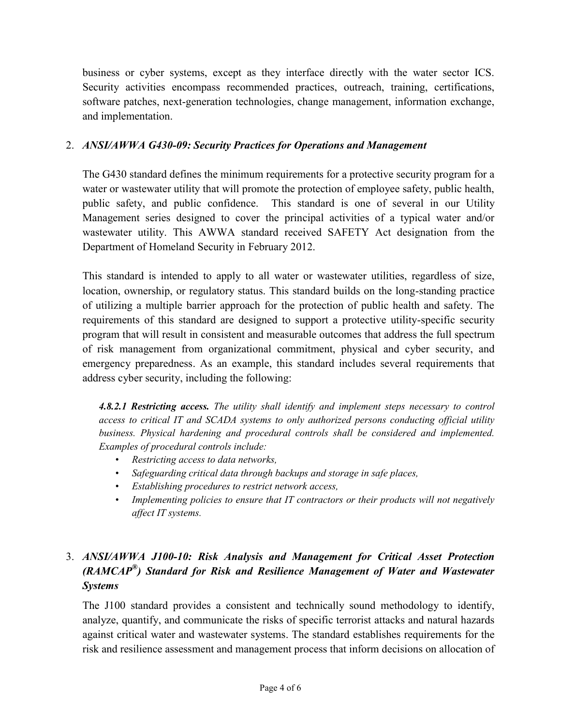business or cyber systems, except as they interface directly with the water sector ICS. Security activities encompass recommended practices, outreach, training, certifications, software patches, next-generation technologies, change management, information exchange, and implementation.

# 2. *ANSI/AWWA G430-09: Security Practices for Operations and Management*

The G430 standard defines the minimum requirements for a protective security program for a water or wastewater utility that will promote the protection of employee safety, public health, public safety, and public confidence. This standard is one of several in our Utility Management series designed to cover the principal activities of a typical water and/or wastewater utility. This AWWA standard received SAFETY Act designation from the Department of Homeland Security in February 2012.

This standard is intended to apply to all water or wastewater utilities, regardless of size, location, ownership, or regulatory status. This standard builds on the long-standing practice of utilizing a multiple barrier approach for the protection of public health and safety. The requirements of this standard are designed to support a protective utility-specific security program that will result in consistent and measurable outcomes that address the full spectrum of risk management from organizational commitment, physical and cyber security, and emergency preparedness. As an example, this standard includes several requirements that address cyber security, including the following:

*4.8.2.1 Restricting access. The utility shall identify and implement steps necessary to control access to critical IT and SCADA systems to only authorized persons conducting official utility business. Physical hardening and procedural controls shall be considered and implemented. Examples of procedural controls include:*

- *Restricting access to data networks,*
- *Safeguarding critical data through backups and storage in safe places,*
- *Establishing procedures to restrict network access,*
- *Implementing policies to ensure that IT contractors or their products will not negatively affect IT systems.*

# 3. *ANSI/AWWA J100-10: Risk Analysis and Management for Critical Asset Protection (RAMCAP® ) Standard for Risk and Resilience Management of Water and Wastewater Systems*

The J100 standard provides a consistent and technically sound methodology to identify, analyze, quantify, and communicate the risks of specific terrorist attacks and natural hazards against critical water and wastewater systems. The standard establishes requirements for the risk and resilience assessment and management process that inform decisions on allocation of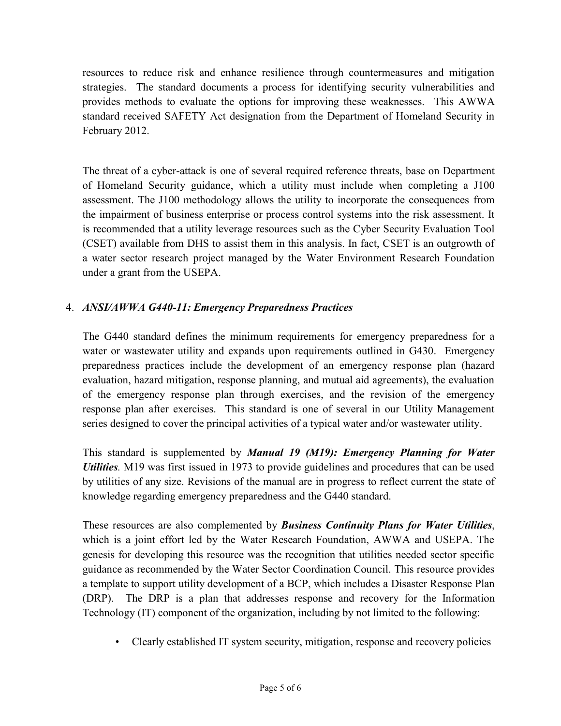resources to reduce risk and enhance resilience through countermeasures and mitigation strategies. The standard documents a process for identifying security vulnerabilities and provides methods to evaluate the options for improving these weaknesses. This AWWA standard received SAFETY Act designation from the Department of Homeland Security in February 2012.

The threat of a cyber-attack is one of several required reference threats, base on Department of Homeland Security guidance, which a utility must include when completing a J100 assessment. The J100 methodology allows the utility to incorporate the consequences from the impairment of business enterprise or process control systems into the risk assessment. It is recommended that a utility leverage resources such as the Cyber Security Evaluation Tool (CSET) available from DHS to assist them in this analysis. In fact, CSET is an outgrowth of a water sector research project managed by the Water Environment Research Foundation under a grant from the USEPA.

# 4. *ANSI/AWWA G440-11: Emergency Preparedness Practices*

The G440 standard defines the minimum requirements for emergency preparedness for a water or wastewater utility and expands upon requirements outlined in G430. Emergency preparedness practices include the development of an emergency response plan (hazard evaluation, hazard mitigation, response planning, and mutual aid agreements), the evaluation of the emergency response plan through exercises, and the revision of the emergency response plan after exercises. This standard is one of several in our Utility Management series designed to cover the principal activities of a typical water and/or wastewater utility.

This standard is supplemented by *Manual 19 (M19): Emergency Planning for Water Utilities.* M19 was first issued in 1973 to provide guidelines and procedures that can be used by utilities of any size. Revisions of the manual are in progress to reflect current the state of knowledge regarding emergency preparedness and the G440 standard.

These resources are also complemented by *Business Continuity Plans for Water Utilities*, which is a joint effort led by the Water Research Foundation, AWWA and USEPA. The genesis for developing this resource was the recognition that utilities needed sector specific guidance as recommended by the Water Sector Coordination Council. This resource provides a template to support utility development of a BCP, which includes a Disaster Response Plan (DRP). The DRP is a plan that addresses response and recovery for the Information Technology (IT) component of the organization, including by not limited to the following:

• Clearly established IT system security, mitigation, response and recovery policies